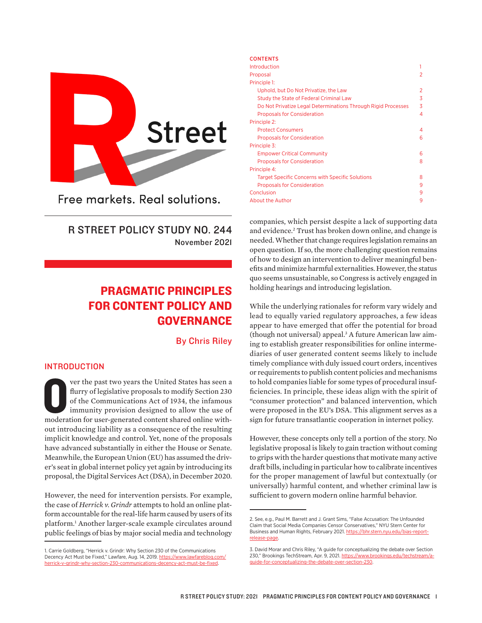

Free markets, Real solutions.

R STREET POLICY STUDY NO. 244 November 2021

# PRAGMATIC PRINCIPLES FOR CONTENT POLICY AND GOVERNANCE

By Chris Riley

# INTRODUCTION

ver the past two years the United States has seen a flurry of legislative proposals to modify Section 230 of the Communications Act of 1934, the infamous immunity provision designed to allow the use of moderation for userver the past two years the United States has seen a flurry of legislative proposals to modify Section 230 of the Communications Act of 1934, the infamous immunity provision designed to allow the use of out introducing liability as a consequence of the resulting implicit knowledge and control. Yet, none of the proposals have advanced substantially in either the House or Senate. Meanwhile, the European Union (EU) has assumed the driver's seat in global internet policy yet again by introducing its proposal, the Digital Services Act (DSA), in December 2020.

However, the need for intervention persists. For example, the case of *Herrick v. Grindr* attempts to hold an online platform accountable for the real-life harm caused by users of its platform.1 Another larger-scale example circulates around public feelings of bias by major social media and technology

#### **CONTENTS**

| Introduction                                                  |   |
|---------------------------------------------------------------|---|
| Proposal                                                      | 2 |
| Principle 1:                                                  |   |
| Uphold, but Do Not Privatize, the Law                         | 2 |
| Study the State of Federal Criminal Law                       | 3 |
| Do Not Privatize Legal Determinations Through Rigid Processes | 3 |
| <b>Proposals for Consideration</b>                            | 4 |
| Principle 2:                                                  |   |
| <b>Protect Consumers</b>                                      | 4 |
| <b>Proposals for Consideration</b>                            | 6 |
| Principle 3:                                                  |   |
| <b>Empower Critical Community</b>                             | 6 |
| <b>Proposals for Consideration</b>                            | 8 |
| Principle 4:                                                  |   |
| <b>Target Specific Concerns with Specific Solutions</b>       | 8 |
| <b>Proposals for Consideration</b>                            | 9 |
| Conclusion                                                    | 9 |
| About the Author                                              | 9 |

companies, which persist despite a lack of supporting data and evidence.2 Trust has broken down online, and change is needed. Whether that change requires legislation remains an open question. If so, the more challenging question remains of how to design an intervention to deliver meaningful benefits and minimize harmful externalities. However, the status quo seems unsustainable, so Congress is actively engaged in holding hearings and introducing legislation.

While the underlying rationales for reform vary widely and lead to equally varied regulatory approaches, a few ideas appear to have emerged that offer the potential for broad (though not universal) appeal.3 A future American law aiming to establish greater responsibilities for online intermediaries of user generated content seems likely to include timely compliance with duly issued court orders, incentives or requirements to publish content policies and mechanisms to hold companies liable for some types of procedural insufficiencies. In principle, these ideas align with the spirit of "consumer protection" and balanced intervention, which were proposed in the EU's DSA. This alignment serves as a sign for future transatlantic cooperation in internet policy.

However, these concepts only tell a portion of the story. No legislative proposal is likely to gain traction without coming to grips with the harder questions that motivate many active draft bills, including in particular how to calibrate incentives for the proper management of lawful but contextually (or universally) harmful content, and whether criminal law is sufficient to govern modern online harmful behavior.

<sup>1.</sup> Carrie Goldberg, "Herrick v. Grindr: Why Section 230 of the Communications Decency Act Must be Fixed," Lawfare, Aug. 14, 2019. [https://www.lawfareblog.com/](https://www.lawfareblog.com/herrick-v-grindr-why-section-230-communications-decency-act-must-be-fixed) [herrick-v-grindr-why-section-230-communications-decency-act-must-be-fixed.](https://www.lawfareblog.com/herrick-v-grindr-why-section-230-communications-decency-act-must-be-fixed)

<sup>2.</sup> See, e.g., Paul M. Barrett and J. Grant Sims, "False Accusation: The Unfounded Claim that Social Media Companies Censor Conservatives," NYU Stern Center for Business and Human Rights, February 2021. [https://bhr.stern.nyu.edu/bias-report](https://bhr.stern.nyu.edu/bias-report-release-page)[release-page](https://bhr.stern.nyu.edu/bias-report-release-page).

<sup>3.</sup> David Morar and Chris Riley, "A guide for conceptualizing the debate over Section 230," Brookings TechStream, Apr. 9, 2021. [https://www.brookings.edu/techstream/a](https://www.brookings.edu/techstream/a-guide-for-conceptualizing-the-debate-over-section-230)[guide-for-conceptualizing-the-debate-over-section-230](https://www.brookings.edu/techstream/a-guide-for-conceptualizing-the-debate-over-section-230).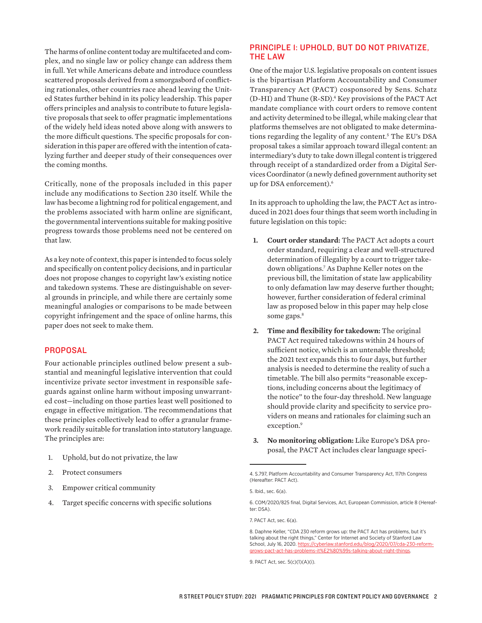The harms of online content today are multifaceted and complex, and no single law or policy change can address them in full. Yet while Americans debate and introduce countless scattered proposals derived from a smorgasbord of conflicting rationales, other countries race ahead leaving the United States further behind in its policy leadership. This paper offers principles and analysis to contribute to future legislative proposals that seek to offer pragmatic implementations of the widely held ideas noted above along with answers to the more difficult questions. The specific proposals for consideration in this paper are offered with the intention of catalyzing further and deeper study of their consequences over the coming months.

Critically, none of the proposals included in this paper include any modifications to Section 230 itself. While the law has become a lightning rod for political engagement, and the problems associated with harm online are significant, the governmental interventions suitable for making positive progress towards those problems need not be centered on that law.

As a key note of context, this paper is intended to focus solely and specifically on content policy decisions, and in particular does not propose changes to copyright law's existing notice and takedown systems. These are distinguishable on several grounds in principle, and while there are certainly some meaningful analogies or comparisons to be made between copyright infringement and the space of online harms, this paper does not seek to make them.

## PROPOSAL

Four actionable principles outlined below present a substantial and meaningful legislative intervention that could incentivize private sector investment in responsible safeguards against online harm without imposing unwarranted cost—including on those parties least well positioned to engage in effective mitigation. The recommendations that these principles collectively lead to offer a granular framework readily suitable for translation into statutory language. The principles are:

- 1. Uphold, but do not privatize, the law
- 2. Protect consumers
- 3. Empower critical community
- 4. Target specific concerns with specific solutions

# PRINCIPLE 1: UPHOLD, BUT DO NOT PRIVATIZE, THE LAW

One of the major U.S. legislative proposals on content issues is the bipartisan Platform Accountability and Consumer Transparency Act (PACT) cosponsored by Sens. Schatz (D-HI) and Thune (R-SD).<sup>4</sup> Key provisions of the PACT Act mandate compliance with court orders to remove content and activity determined to be illegal, while making clear that platforms themselves are not obligated to make determinations regarding the legality of any content.5 The EU's DSA proposal takes a similar approach toward illegal content: an intermediary's duty to take down illegal content is triggered through receipt of a standardized order from a Digital Services Coordinator (a newly defined government authority set up for DSA enforcement).<sup>6</sup>

In its approach to upholding the law, the PACT Act as introduced in 2021 does four things that seem worth including in future legislation on this topic:

- **1. Court order standard:** The PACT Act adopts a court order standard, requiring a clear and well-structured determination of illegality by a court to trigger takedown obligations.7 As Daphne Keller notes on the previous bill, the limitation of state law applicability to only defamation law may deserve further thought; however, further consideration of federal criminal law as proposed below in this paper may help close some gaps.<sup>8</sup>
- **2. Time and flexibility for takedown:** The original PACT Act required takedowns within 24 hours of sufficient notice, which is an untenable threshold; the 2021 text expands this to four days, but further analysis is needed to determine the reality of such a timetable. The bill also permits "reasonable exceptions, including concerns about the legitimacy of the notice" to the four-day threshold. New language should provide clarity and specificity to service providers on means and rationales for claiming such an exception.9
- **3. No monitoring obligation:** Like Europe's DSA proposal, the PACT Act includes clear language speci-

<sup>4.</sup> S.797, Platform Accountability and Consumer Transparency Act, 117th Congress (Hereafter: PACT Act).

<sup>5.</sup> Ibid., sec. 6(a).

<sup>6.</sup> COM/2020/825 final, Digital Services, Act, European Commission, article 8 (Hereafter: DSA).

<sup>7.</sup> PACT Act, sec. 6(a).

<sup>8.</sup> Daphne Keller, "CDA 230 reform grows up: the PACT Act has problems, but it's talking about the right things," Center for Internet and Society of Stanford Law School, July 16, 2020. [https://cyberlaw.stanford.edu/blog/2020/07/cda-230-reform](https://cyberlaw.stanford.edu/blog/2020/07/cda-230-reform-grows-pact-act-has-problems-it%E2%80%99s-talking-about-right-things)[grows-pact-act-has-problems-it%E2%80%99s-talking-about-right-things.](https://cyberlaw.stanford.edu/blog/2020/07/cda-230-reform-grows-pact-act-has-problems-it%E2%80%99s-talking-about-right-things)

<sup>9.</sup> PACT Act, sec. 5(c)(1)(A)(i).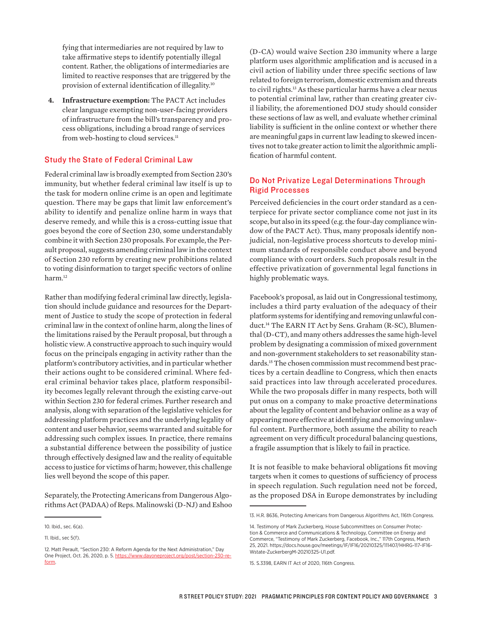fying that intermediaries are not required by law to take affirmative steps to identify potentially illegal content. Rather, the obligations of intermediaries are limited to reactive responses that are triggered by the provision of external identification of illegality.10

**4. Infrastructure exemption:** The PACT Act includes clear language exempting non-user-facing providers of infrastructure from the bill's transparency and process obligations, including a broad range of services from web-hosting to cloud services.<sup>11</sup>

# Study the State of Federal Criminal Law

Federal criminal law is broadly exempted from Section 230's immunity, but whether federal criminal law itself is up to the task for modern online crime is an open and legitimate question. There may be gaps that limit law enforcement's ability to identify and penalize online harm in ways that deserve remedy, and while this is a cross-cutting issue that goes beyond the core of Section 230, some understandably combine it with Section 230 proposals. For example, the Perault proposal, suggests amending criminal law in the context of Section 230 reform by creating new prohibitions related to voting disinformation to target specific vectors of online harm.<sup>12</sup>

Rather than modifying federal criminal law directly, legislation should include guidance and resources for the Department of Justice to study the scope of protection in federal criminal law in the context of online harm, along the lines of the limitations raised by the Perault proposal, but through a holistic view. A constructive approach to such inquiry would focus on the principals engaging in activity rather than the platform's contributory activities, and in particular whether their actions ought to be considered criminal. Where federal criminal behavior takes place, platform responsibility becomes legally relevant through the existing carve-out within Section 230 for federal crimes. Further research and analysis, along with separation of the legislative vehicles for addressing platform practices and the underlying legality of content and user behavior, seems warranted and suitable for addressing such complex issues. In practice, there remains a substantial difference between the possibility of justice through effectively designed law and the reality of equitable access to justice for victims of harm; however, this challenge lies well beyond the scope of this paper.

Separately, the Protecting Americans from Dangerous Algorithms Act (PADAA) of Reps. Malinowski (D-NJ) and Eshoo

(D-CA) would waive Section 230 immunity where a large platform uses algorithmic amplification and is accused in a civil action of liability under three specific sections of law related to foreign terrorism, domestic extremism and threats to civil rights.<sup>13</sup> As these particular harms have a clear nexus to potential criminal law, rather than creating greater civil liability, the aforementioned DOJ study should consider these sections of law as well, and evaluate whether criminal liability is sufficient in the online context or whether there are meaningful gaps in current law leading to skewed incentives not to take greater action to limit the algorithmic amplification of harmful content.

# Do Not Privatize Legal Determinations Through Rigid Processes

Perceived deficiencies in the court order standard as a centerpiece for private sector compliance come not just in its scope, but also in its speed (e.g. the four-day compliance window of the PACT Act). Thus, many proposals identify nonjudicial, non-legislative process shortcuts to develop minimum standards of responsible conduct above and beyond compliance with court orders. Such proposals result in the effective privatization of governmental legal functions in highly problematic ways.

Facebook's proposal, as laid out in Congressional testimony, includes a third party evaluation of the adequacy of their platform systems for identifying and removing unlawful conduct.14 The EARN IT Act by Sens. Graham (R-SC), Blumenthal (D-CT), and many others addresses the same high-level problem by designating a commission of mixed government and non-government stakeholders to set reasonability standards.<sup>15</sup> The chosen commission must recommend best practices by a certain deadline to Congress, which then enacts said practices into law through accelerated procedures. While the two proposals differ in many respects, both will put onus on a company to make proactive determinations about the legality of content and behavior online as a way of appearing more effective at identifying and removing unlawful content. Furthermore, both assume the ability to reach agreement on very difficult procedural balancing questions, a fragile assumption that is likely to fail in practice.

It is not feasible to make behavioral obligations fit moving targets when it comes to questions of sufficiency of process in speech regulation. Such regulation need not be forced, as the proposed DSA in Europe demonstrates by including

<sup>10.</sup> Ibid., sec. 6(a).

<sup>11.</sup> Ibid., sec 5(f).

<sup>12.</sup> Matt Perault, "Section 230: A Reform Agenda for the Next Administration," Day One Project, Oct. 26, 2020, p. 5. [https://www.dayoneproject.org/post/section-230-re](https://www.dayoneproject.org/post/section-230-reform)[form.](https://www.dayoneproject.org/post/section-230-reform)

<sup>13.</sup> H.R. 8636, Protecting Americans from Dangerous Algorithms Act, 116th Congress.

<sup>14.</sup> Testimony of Mark Zuckerberg, House Subcommittees on Consumer Protection & Commerce and Communications & Technology, Committee on Energy and Commerce, "Testimony of Mark Zuckerberg, Facebook, Inc.," 117th Congress, March 25, 2021. [https://docs.house.gov/meetings/IF/IF16/20210325/111407/HHRG-117-IF16-](https://docs.house.gov/meetings/IF/IF16/20210325/111407/HHRG-117-IF16-Wstate-ZuckerbergM-20210325-U1.pdf) [Wstate-ZuckerbergM-20210325-U1.pdf.](https://docs.house.gov/meetings/IF/IF16/20210325/111407/HHRG-117-IF16-Wstate-ZuckerbergM-20210325-U1.pdf)

<sup>15.</sup> S.3398, EARN IT Act of 2020, 116th Congress.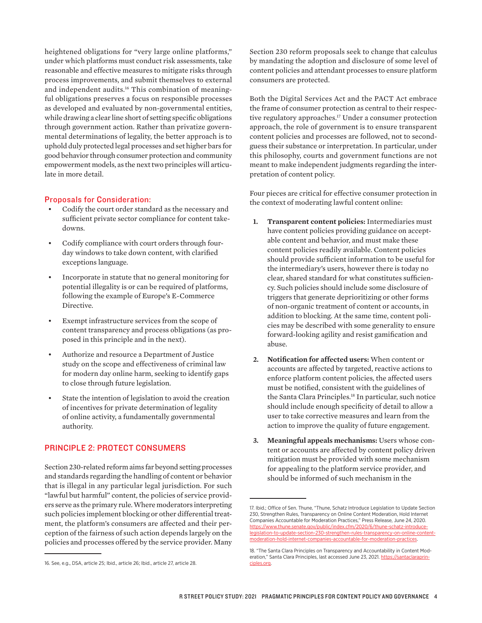heightened obligations for "very large online platforms," under which platforms must conduct risk assessments, take reasonable and effective measures to mitigate risks through process improvements, and submit themselves to external and independent audits.<sup>16</sup> This combination of meaningful obligations preserves a focus on responsible processes as developed and evaluated by non-governmental entities, while drawing a clear line short of setting specific obligations through government action. Rather than privatize governmental determinations of legality, the better approach is to uphold duly protected legal processes and set higher bars for good behavior through consumer protection and community empowerment models, as the next two principles will articulate in more detail.

## Proposals for Consideration:

- Codify the court order standard as the necessary and sufficient private sector compliance for content takedowns.
- Codify compliance with court orders through fourday windows to take down content, with clarified exceptions language.
- Incorporate in statute that no general monitoring for potential illegality is or can be required of platforms, following the example of Europe's E-Commerce Directive.
- Exempt infrastructure services from the scope of content transparency and process obligations (as proposed in this principle and in the next).
- Authorize and resource a Department of Justice study on the scope and effectiveness of criminal law for modern day online harm, seeking to identify gaps to close through future legislation.
- State the intention of legislation to avoid the creation of incentives for private determination of legality of online activity, a fundamentally governmental authority.

# PRINCIPLE 2: PROTECT CONSUMERS

Section 230-related reform aims far beyond setting processes and standards regarding the handling of content or behavior that is illegal in any particular legal jurisdiction. For such "lawful but harmful" content, the policies of service providers serve as the primary rule. Where moderators interpreting such policies implement blocking or other differential treatment, the platform's consumers are affected and their perception of the fairness of such action depends largely on the policies and processes offered by the service provider. Many

Section 230 reform proposals seek to change that calculus by mandating the adoption and disclosure of some level of content policies and attendant processes to ensure platform consumers are protected.

Both the Digital Services Act and the PACT Act embrace the frame of consumer protection as central to their respective regulatory approaches.<sup>17</sup> Under a consumer protection approach, the role of government is to ensure transparent content policies and processes are followed, not to secondguess their substance or interpretation. In particular, under this philosophy, courts and government functions are not meant to make independent judgments regarding the interpretation of content policy.

Four pieces are critical for effective consumer protection in the context of moderating lawful content online:

- **1. Transparent content policies:** Intermediaries must have content policies providing guidance on acceptable content and behavior, and must make these content policies readily available. Content policies should provide sufficient information to be useful for the intermediary's users, however there is today no clear, shared standard for what constitutes sufficiency. Such policies should include some disclosure of triggers that generate deprioritizing or other forms of non-organic treatment of content or accounts, in addition to blocking. At the same time, content policies may be described with some generality to ensure forward-looking agility and resist gamification and abuse.
- **2. Notification for affected users:** When content or accounts are affected by targeted, reactive actions to enforce platform content policies, the affected users must be notified, consistent with the guidelines of the Santa Clara Principles.<sup>18</sup> In particular, such notice should include enough specificity of detail to allow a user to take corrective measures and learn from the action to improve the quality of future engagement.
- **3. Meaningful appeals mechanisms:** Users whose content or accounts are affected by content policy driven mitigation must be provided with some mechanism for appealing to the platform service provider, and should be informed of such mechanism in the

<sup>16.</sup> See, e.g., DSA, article 25; Ibid., article 26; Ibid., article 27, article 28.

<sup>17.</sup> Ibid.; Office of Sen. Thune, "Thune, Schatz Introduce Legislation to Update Section 230, Strengthen Rules, Transparency on Online Content Moderation, Hold Internet Companies Accountable for Moderation Practices," Press Release, June 24, 2020. [https://www.thune.senate.gov/public/index.cfm/2020/6/thune-schatz-introduce](https://www.thune.senate.gov/public/index.cfm/2020/6/thune-schatz-introduce-legislation-to-update-section-230-strengthen-rules-transparency-on-online-content-moderation-hold-internet-companies-accountable-for-moderation-practices)[legislation-to-update-section-230-strengthen-rules-transparency-on-online-content](https://www.thune.senate.gov/public/index.cfm/2020/6/thune-schatz-introduce-legislation-to-update-section-230-strengthen-rules-transparency-on-online-content-moderation-hold-internet-companies-accountable-for-moderation-practices)[moderation-hold-internet-companies-accountable-for-moderation-practices.](https://www.thune.senate.gov/public/index.cfm/2020/6/thune-schatz-introduce-legislation-to-update-section-230-strengthen-rules-transparency-on-online-content-moderation-hold-internet-companies-accountable-for-moderation-practices)

<sup>18. &</sup>quot;The Santa Clara Principles on Transparency and Accountability in Content Moderation," Santa Clara Principles, last accessed June 23, 2021. [https://santaclaraprin](https://santaclaraprinciples.org)[ciples.org](https://santaclaraprinciples.org).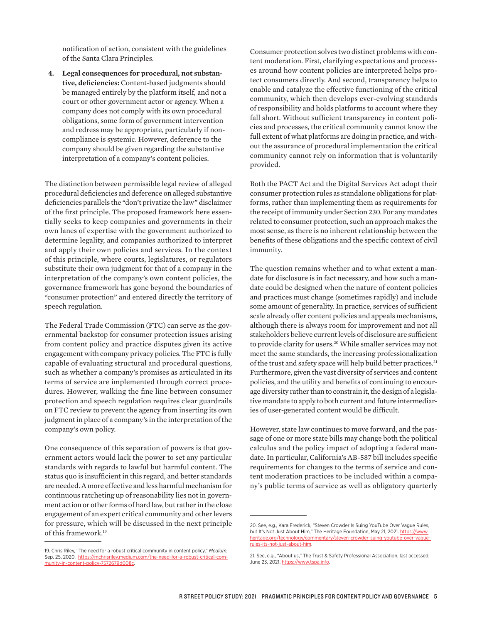notification of action, consistent with the guidelines of the Santa Clara Principles.

**4. Legal consequences for procedural, not substantive, deficiencies:** Content-based judgments should be managed entirely by the platform itself, and not a court or other government actor or agency. When a company does not comply with its own procedural obligations, some form of government intervention and redress may be appropriate, particularly if noncompliance is systemic. However, deference to the company should be given regarding the substantive interpretation of a company's content policies.

The distinction between permissible legal review of alleged procedural deficiencies and deference on alleged substantive deficiencies parallels the "don't privatize the law" disclaimer of the first principle. The proposed framework here essentially seeks to keep companies and governments in their own lanes of expertise with the government authorized to determine legality, and companies authorized to interpret and apply their own policies and services. In the context of this principle, where courts, legislatures, or regulators substitute their own judgment for that of a company in the interpretation of the company's own content policies, the governance framework has gone beyond the boundaries of "consumer protection" and entered directly the territory of speech regulation.

The Federal Trade Commission (FTC) can serve as the governmental backstop for consumer protection issues arising from content policy and practice disputes given its active engagement with company privacy policies. The FTC is fully capable of evaluating structural and procedural questions, such as whether a company's promises as articulated in its terms of service are implemented through correct procedures. However, walking the fine line between consumer protection and speech regulation requires clear guardrails on FTC review to prevent the agency from inserting its own judgment in place of a company's in the interpretation of the company's own policy.

One consequence of this separation of powers is that government actors would lack the power to set any particular standards with regards to lawful but harmful content. The status quo is insufficient in this regard, and better standards are needed. A more effective and less harmful mechanism for continuous ratcheting up of reasonability lies not in government action or other forms of hard law, but rather in the close engagement of an expert critical community and other levers for pressure, which will be discussed in the next principle of this framework.19

Consumer protection solves two distinct problems with content moderation. First, clarifying expectations and processes around how content policies are interpreted helps protect consumers directly. And second, transparency helps to enable and catalyze the effective functioning of the critical community, which then develops ever-evolving standards of responsibility and holds platforms to account where they fall short. Without sufficient transparency in content policies and processes, the critical community cannot know the full extent of what platforms are doing in practice, and without the assurance of procedural implementation the critical community cannot rely on information that is voluntarily provided.

Both the PACT Act and the Digital Services Act adopt their consumer protection rules as standalone obligations for platforms, rather than implementing them as requirements for the receipt of immunity under Section 230. For any mandates related to consumer protection, such an approach makes the most sense, as there is no inherent relationship between the benefits of these obligations and the specific context of civil immunity.

The question remains whether and to what extent a mandate for disclosure is in fact necessary, and how such a mandate could be designed when the nature of content policies and practices must change (sometimes rapidly) and include some amount of generality. In practice, services of sufficient scale already offer content policies and appeals mechanisms, although there is always room for improvement and not all stakeholders believe current levels of disclosure are sufficient to provide clarity for users.<sup>20</sup> While smaller services may not meet the same standards, the increasing professionalization of the trust and safety space will help build better practices.<sup>21</sup> Furthermore, given the vast diversity of services and content policies, and the utility and benefits of continuing to encourage diversity rather than to constrain it, the design of a legislative mandate to apply to both current and future intermediaries of user-generated content would be difficult.

However, state law continues to move forward, and the passage of one or more state bills may change both the political calculus and the policy impact of adopting a federal mandate. In particular, California's AB-587 bill includes specific requirements for changes to the terms of service and content moderation practices to be included within a company's public terms of service as well as obligatory quarterly

<sup>19.</sup> Chris Riley, "The need for a robust critical community in content policy," *Medium*, Sep. 25, 2020. [https://mchrisriley.medium.com/the-need-for-a-robust-critical-com](https://mchrisriley.medium.com/the-need-for-a-robust-critical-community-in-content-policy-7572679d008c)[munity-in-content-policy-7572679d008c](https://mchrisriley.medium.com/the-need-for-a-robust-critical-community-in-content-policy-7572679d008c).

<sup>20.</sup> See, e.g., Kara Frederick, "Steven Crowder Is Suing YouTube Over Vague Rules, but It's Not Just About Him," The Heritage Foundation, May 21, 2021. [https://www.](https://www.heritage.org/technology/commentary/steven-crowder-suing-youtube-over-vague-rules-its-not-just-about-him) [heritage.org/technology/commentary/steven-crowder-suing-youtube-over-vague](https://www.heritage.org/technology/commentary/steven-crowder-suing-youtube-over-vague-rules-its-not-just-about-him)[rules-its-not-just-about-him.](https://www.heritage.org/technology/commentary/steven-crowder-suing-youtube-over-vague-rules-its-not-just-about-him)

<sup>21.</sup> See, e.g., "About us," The Trust & Safety Professional Association, last accessed, June 23, 2021. [https://www.tspa.info.](https://www.tspa.info/)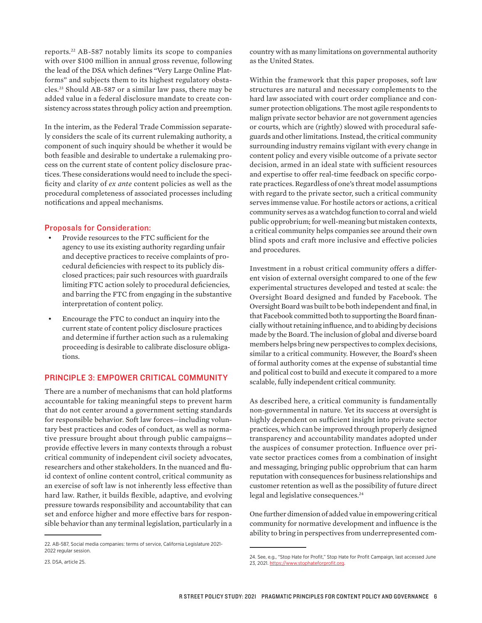reports.22 AB-587 notably limits its scope to companies with over \$100 million in annual gross revenue, following the lead of the DSA which defines "Very Large Online Platforms" and subjects them to its highest regulatory obstacles.23 Should AB-587 or a similar law pass, there may be added value in a federal disclosure mandate to create consistency across states through policy action and preemption.

In the interim, as the Federal Trade Commission separately considers the scale of its current rulemaking authority, a component of such inquiry should be whether it would be both feasible and desirable to undertake a rulemaking process on the current state of content policy disclosure practices. These considerations would need to include the specificity and clarity of *ex ante* content policies as well as the procedural completeness of associated processes including notifications and appeal mechanisms.

#### Proposals for Consideration:

- Provide resources to the FTC sufficient for the agency to use its existing authority regarding unfair and deceptive practices to receive complaints of procedural deficiencies with respect to its publicly disclosed practices; pair such resources with guardrails limiting FTC action solely to procedural deficiencies, and barring the FTC from engaging in the substantive interpretation of content policy.
- Encourage the FTC to conduct an inquiry into the current state of content policy disclosure practices and determine if further action such as a rulemaking proceeding is desirable to calibrate disclosure obligations.

#### PRINCIPLE 3: EMPOWER CRITICAL COMMUNITY

There are a number of mechanisms that can hold platforms accountable for taking meaningful steps to prevent harm that do not center around a government setting standards for responsible behavior. Soft law forces—including voluntary best practices and codes of conduct, as well as normative pressure brought about through public campaigns provide effective levers in many contexts through a robust critical community of independent civil society advocates, researchers and other stakeholders. In the nuanced and fluid context of online content control, critical community as an exercise of soft law is not inherently less effective than hard law. Rather, it builds flexible, adaptive, and evolving pressure towards responsibility and accountability that can set and enforce higher and more effective bars for responsible behavior than any terminal legislation, particularly in a

country with as many limitations on governmental authority as the United States.

Within the framework that this paper proposes, soft law structures are natural and necessary complements to the hard law associated with court order compliance and consumer protection obligations. The most agile respondents to malign private sector behavior are not government agencies or courts, which are (rightly) slowed with procedural safeguards and other limitations. Instead, the critical community surrounding industry remains vigilant with every change in content policy and every visible outcome of a private sector decision, armed in an ideal state with sufficient resources and expertise to offer real-time feedback on specific corporate practices. Regardless of one's threat model assumptions with regard to the private sector, such a critical community serves immense value. For hostile actors or actions, a critical community serves as a watchdog function to corral and wield public opprobrium; for well-meaning but mistaken contexts, a critical community helps companies see around their own blind spots and craft more inclusive and effective policies and procedures.

Investment in a robust critical community offers a different vision of external oversight compared to one of the few experimental structures developed and tested at scale: the Oversight Board designed and funded by Facebook. The Oversight Board was built to be both independent and final, in that Facebook committed both to supporting the Board financially without retaining influence, and to abiding by decisions made by the Board. The inclusion of global and diverse board members helps bring new perspectives to complex decisions, similar to a critical community. However, the Board's sheen of formal authority comes at the expense of substantial time and political cost to build and execute it compared to a more scalable, fully independent critical community.

As described here, a critical community is fundamentally non-governmental in nature. Yet its success at oversight is highly dependent on sufficient insight into private sector practices, which can be improved through properly designed transparency and accountability mandates adopted under the auspices of consumer protection. Influence over private sector practices comes from a combination of insight and messaging, bringing public opprobrium that can harm reputation with consequences for business relationships and customer retention as well as the possibility of future direct legal and legislative consequences.<sup>24</sup>

One further dimension of added value in empowering critical community for normative development and influence is the ability to bring in perspectives from underrepresented com-

<sup>22.</sup> AB-587, Social media companies: terms of service, California Legislature 2021- 2022 regular session.

<sup>24.</sup> See, e.g., "Stop Hate for Profit," Stop Hate for Profit Campaign, last accessed June 23, 2021. [https://www.stophateforprofit.org](https://www.stophateforprofit.org/).

<sup>23.</sup> DSA, article 25.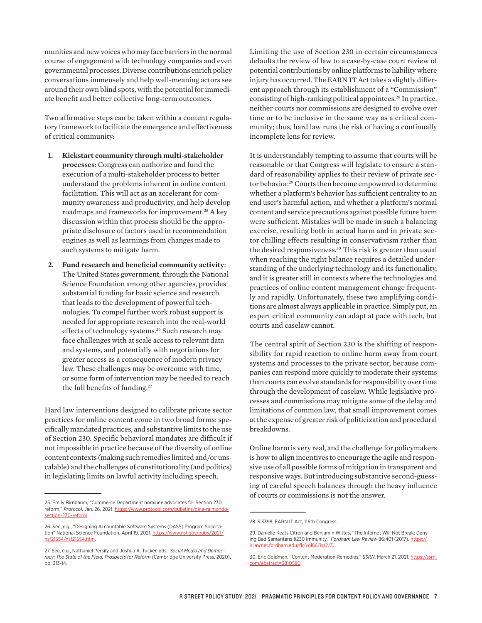munities and new voices who may face barriers in the normal course of engagement with technology companies and even governmental processes. Diverse contributions enrich policy conversations immensely and help well-meaning actors see around their own blind spots, with the potential for immediate benefit and better collective long-term outcomes.

Two affirmative steps can be taken within a content regulatory framework to facilitate the emergence and effectiveness of critical community:

- **1. Kickstart community through multi-stakeholder processes**: Congress can authorize and fund the execution of a multi-stakeholder process to better understand the problems inherent in online content facilitation. This will act as an accelerant for community awareness and productivity, and help develop roadmaps and frameworks for improvement.25 A key discussion within that process should be the appropriate disclosure of factors used in recommendation engines as well as learnings from changes made to such systems to mitigate harm.
- **2. Fund research and beneficial community activity**: The United States government, through the National Science Foundation among other agencies, provides substantial funding for basic science and research that leads to the development of powerful technologies. To compel further work robust support is needed for appropriate research into the real-world effects of technology systems.<sup>26</sup> Such research may face challenges with at scale access to relevant data and systems, and potentially with negotiations for greater access as a consequence of modern privacy law. These challenges may be overcome with time, or some form of intervention may be needed to reach the full benefits of funding.<sup>27</sup>

Hard law interventions designed to calibrate private sector practices for online content come in two broad forms: specifically mandated practices, and substantive limits to the use of Section 230. Specific behavioral mandates are difficult if not impossible in practice because of the diversity of online content contexts (making such remedies limited and/or unscalable) and the challenges of constitutionality (and politics) in legislating limits on lawful activity including speech.

Limiting the use of Section 230 in certain circumstances defaults the review of law to a case-by-case court review of potential contributions by online platforms to liability where injury has occurred. The EARN IT Act takes a slightly different approach through its establishment of a "Commission" consisting of high-ranking political appointees.<sup>28</sup> In practice, neither courts nor commissions are designed to evolve over time or to be inclusive in the same way as a critical community; thus, hard law runs the risk of having a continually incomplete lens for review.

It is understandably tempting to assume that courts will be reasonable or that Congress will legislate to ensure a standard of reasonability applies to their review of private sector behavior.<sup>29</sup> Courts then become empowered to determine whether a platform's behavior has sufficient centrality to an end user's harmful action, and whether a platform's normal content and service precautions against possible future harm were sufficient. Mistakes will be made in such a balancing exercise, resulting both in actual harm and in private sector chilling effects resulting in conservativism rather than the desired responsiveness.30 This risk is greater than usual when reaching the right balance requires a detailed understanding of the underlying technology and its functionality, and it is greater still in contexts where the technologies and practices of online content management change frequently and rapidly. Unfortunately, these two amplifying conditions are almost always applicable in practice. Simply put, an expert critical community can adapt at pace with tech, but courts and caselaw cannot.

The central spirit of Section 230 is the shifting of responsibility for rapid reaction to online harm away from court systems and processes to the private sector, because companies can respond more quickly to moderate their systems than courts can evolve standards for responsibility over time through the development of caselaw. While legislative processes and commissions may mitigate some of the delay and limitations of common law, that small improvement comes at the expense of greater risk of politicization and procedural breakdowns.

Online harm is very real, and the challenge for policymakers is how to align incentives to encourage the agile and responsive use of all possible forms of mitigation in transparent and responsive ways. But introducing substantive second-guessing of careful speech balances through the heavy influence of courts or commissions is not the answer.

<sup>25.</sup> Emily Birnbaum, "Commerce Department nominee advocates for Section 230 reform," *Protocol*, Jan. 26, 2021. [https://www.protocol.com/bulletins/gina-raimondo](https://www.protocol.com/bulletins/gina-raimondo-section-230-reform)[section-230-reform](https://www.protocol.com/bulletins/gina-raimondo-section-230-reform).

<sup>26.</sup> See, e.g., "Designing Accountable Software Systems (DASS) Program Solicitation" National Science Foundation, April 19, 2021. [https://www.nsf.gov/pubs/2021/](https://www.nsf.gov/pubs/2021/nsf21554/nsf21554.htm) [nsf21554/nsf21554.htm](https://www.nsf.gov/pubs/2021/nsf21554/nsf21554.htm).

<sup>27.</sup> See, e.g., Nathaniel Persily and Joshua A. Tucker, eds., *Social Media and Democracy: The State of the Field, Prospects for Reform* (Cambridge University Press, 2020), pp. 313-14.

<sup>28.</sup> S.3398, EARN IT Act, 116th Congress.

<sup>29.</sup> Danielle Keats Citron and Benjamin Wittes, "The Internet Will Not Break: Denying Bad Samaritans §230 Immunity," *Fordham Law Review* 86:401 (2017). [https://](https://ir.lawnet.fordham.edu/flr/vol86/iss2/3) [ir.lawnet.fordham.edu/flr/vol86/iss2/3](https://ir.lawnet.fordham.edu/flr/vol86/iss2/3).

<sup>30.</sup> Eric Goldman, "Content Moderation Remedies," *SSRN*, March 21, 2021. [https://ssrn.](https://ssrn.com/abstract=3810580) [com/abstract=3810580.](https://ssrn.com/abstract=3810580)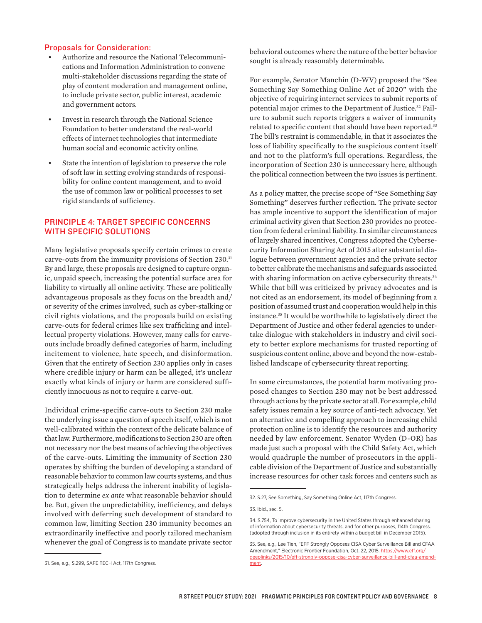## Proposals for Consideration:

- Authorize and resource the National Telecommunications and Information Administration to convene multi-stakeholder discussions regarding the state of play of content moderation and management online, to include private sector, public interest, academic and government actors.
- Invest in research through the National Science Foundation to better understand the real-world effects of internet technologies that intermediate human social and economic activity online.
- State the intention of legislation to preserve the role of soft law in setting evolving standards of responsibility for online content management, and to avoid the use of common law or political processes to set rigid standards of sufficiency.

# PRINCIPLE 4: TARGET SPECIFIC CONCERNS WITH SPECIFIC SOLUTIONS

Many legislative proposals specify certain crimes to create carve-outs from the immunity provisions of Section 230.31 By and large, these proposals are designed to capture organic, unpaid speech, increasing the potential surface area for liability to virtually all online activity. These are politically advantageous proposals as they focus on the breadth and/ or severity of the crimes involved, such as cyber-stalking or civil rights violations, and the proposals build on existing carve-outs for federal crimes like sex trafficking and intellectual property violations. However, many calls for carveouts include broadly defined categories of harm, including incitement to violence, hate speech, and disinformation. Given that the entirety of Section 230 applies only in cases where credible injury or harm can be alleged, it's unclear exactly what kinds of injury or harm are considered sufficiently innocuous as not to require a carve-out.

Individual crime-specific carve-outs to Section 230 make the underlying issue a question of speech itself, which is not well-calibrated within the context of the delicate balance of that law. Furthermore, modifications to Section 230 are often not necessary nor the best means of achieving the objectives of the carve-outs. Limiting the immunity of Section 230 operates by shifting the burden of developing a standard of reasonable behavior to common law courts systems, and thus strategically helps address the inherent inability of legislation to determine *ex ante* what reasonable behavior should be. But, given the unpredictability, inefficiency, and delays involved with deferring such development of standard to common law, limiting Section 230 immunity becomes an extraordinarily ineffective and poorly tailored mechanism whenever the goal of Congress is to mandate private sector behavioral outcomes where the nature of the better behavior sought is already reasonably determinable.

For example, Senator Manchin (D-WV) proposed the "See Something Say Something Online Act of 2020" with the objective of requiring internet services to submit reports of potential major crimes to the Department of Justice.<sup>32</sup> Failure to submit such reports triggers a waiver of immunity related to specific content that should have been reported.<sup>33</sup> The bill's restraint is commendable, in that it associates the loss of liability specifically to the suspicious content itself and not to the platform's full operations. Regardless, the incorporation of Section 230 is unnecessary here, although the political connection between the two issues is pertinent.

As a policy matter, the precise scope of "See Something Say Something" deserves further reflection. The private sector has ample incentive to support the identification of major criminal activity given that Section 230 provides no protection from federal criminal liability. In similar circumstances of largely shared incentives, Congress adopted the Cybersecurity Information Sharing Act of 2015 after substantial dialogue between government agencies and the private sector to better calibrate the mechanisms and safeguards associated with sharing information on active cybersecurity threats.<sup>34</sup> While that bill was criticized by privacy advocates and is not cited as an endorsement, its model of beginning from a position of assumed trust and cooperation would help in this instance.35 It would be worthwhile to legislatively direct the Department of Justice and other federal agencies to undertake dialogue with stakeholders in industry and civil society to better explore mechanisms for trusted reporting of suspicious content online, above and beyond the now-established landscape of cybersecurity threat reporting.

In some circumstances, the potential harm motivating proposed changes to Section 230 may not be best addressed through actions by the private sector at all. For example, child safety issues remain a key source of anti-tech advocacy. Yet an alternative and compelling approach to increasing child protection online is to identify the resources and authority needed by law enforcement. Senator Wyden (D-OR) has made just such a proposal with the Child Safety Act, which would quadruple the number of prosecutors in the applicable division of the Department of Justice and substantially increase resources for other task forces and centers such as

<sup>32.</sup> S.27, See Something, Say Something Online Act, 117th Congress.

<sup>33.</sup> Ibid., sec. 5.

<sup>34.</sup> S.754, To improve cybersecurity in the United States through enhanced sharing of information about cybersecurity threats, and for other purposes, 114th Congress. (adopted through inclusion in its entirety within a budget bill in December 2015).

<sup>35.</sup> See, e.g., Lee Tien, "EFF Strongly Opposes CISA Cyber Surveillance Bill and CFAA Amendment," Electronic Frontier Foundation, Oct. 22, 2015. [https://www.eff.org/](https://www.eff.org/deeplinks/2015/10/eff-strongly-oppose-cisa-cyber-surveillance-bill-and-cfaa-amendment) [deeplinks/2015/10/eff-strongly-oppose-cisa-cyber-surveillance-bill-and-cfaa-amend](https://www.eff.org/deeplinks/2015/10/eff-strongly-oppose-cisa-cyber-surveillance-bill-and-cfaa-amendment)[ment.](https://www.eff.org/deeplinks/2015/10/eff-strongly-oppose-cisa-cyber-surveillance-bill-and-cfaa-amendment)

<sup>31.</sup> See, e.g., S.299, SAFE TECH Act, 117th Congress.